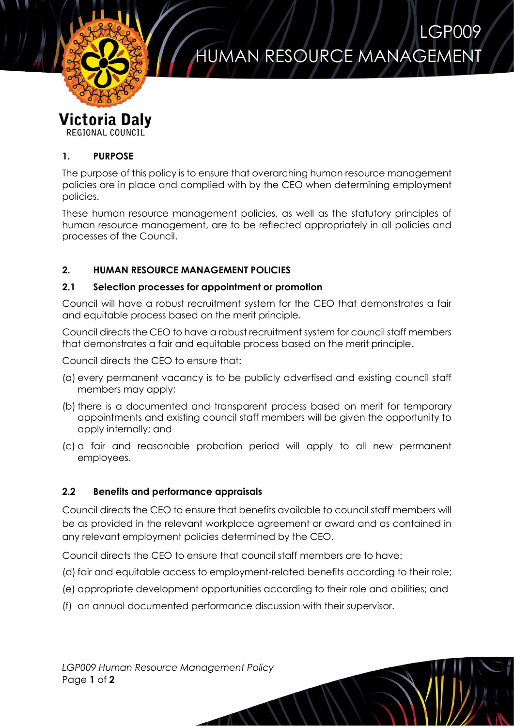

# HUMAN RESOURCE MANAGEMENT

LGP009

POLLICY

# **Victoria Daly**

**REGIONAL COUNCIL** 

### **1. PURPOSE**

The purpose of this policy is to ensure that overarching human resource management policies are in place and complied with by the CEO when determining employment policies.

These human resource management policies, as well as the statutory principles of human resource management, are to be reflected appropriately in all policies and processes of the Council.

## **2. HUMAN RESOURCE MANAGEMENT POLICIES**

#### **2.1 Selection processes for appointment or promotion**

Council will have a robust recruitment system for the CEO that demonstrates a fair and equitable process based on the merit principle.

Council directs the CEO to have a robust recruitment system for council staff members that demonstrates a fair and equitable process based on the merit principle.

Council directs the CEO to ensure that:

- (a) every permanent vacancy is to be publicly advertised and existing council staff members may apply;
- (b) there is a documented and transparent process based on merit for temporary appointments and existing council staff members will be given the opportunity to apply internally; and
- (c) a fair and reasonable probation period will apply to all new permanent employees.

#### **2.2 Benefits and performance appraisals**

Council directs the CEO to ensure that benefits available to council staff members will be as provided in the relevant workplace agreement or award and as contained in any relevant employment policies determined by the CEO.

Council directs the CEO to ensure that council staff members are to have:

- (d) fair and equitable access to employment-related benefits according to their role;
- (e) appropriate development opportunities according to their role and abilities; and
- (f) an annual documented performance discussion with their supervisor.